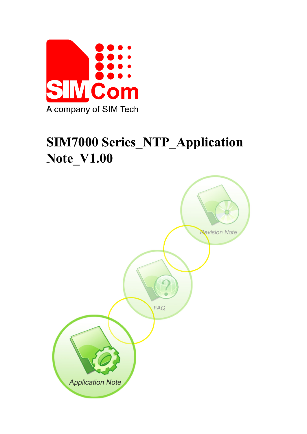

# **SIM7000 Series\_NTP\_Application Note\_V1.00**

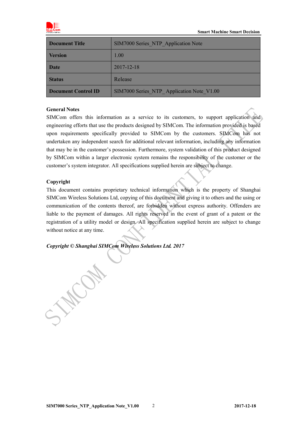

| <b>Document Title</b>      | SIM7000 Series NTP Application Note       |
|----------------------------|-------------------------------------------|
| <b>Version</b>             | 1.00                                      |
| Date                       | 2017-12-18                                |
| <b>Status</b>              | Release                                   |
| <b>Document Control ID</b> | SIM7000 Series NTP Application Note V1.00 |

#### **General Notes**

SIMCom offers this information as a service to its customers, to support application and engineering efforts that use the products designed by SIMCom. The information provided is based upon requirements specifically provided to SIMCom by the customers. SIMCom has not undertaken any independent search for additional relevant information, including any information that may be in the customer's possession. Furthermore, system validation of this product designed by SIMCom within a larger electronic system remains the responsibility of the customer or the customer's system integrator. All specifications supplied herein are subject to change.

#### **Copyright**

This document contains proprietary technical information which is the property of Shanghai SIMCom Wireless Solutions Ltd, copying of this document and giving it to others and the using or communication of the contents thereof, are forbidden without express authority. Offenders are liable to the payment of damages. All rights reserved in the event of grant of a patent or the registration of a utility model or design. All specification supplied herein are subject to change without notice at any time.

*Copyright © Shanghai SIMCom Wireless Solutions Ltd. 2017*

J.H.Com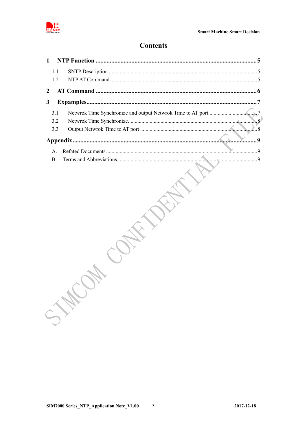

## **Contents**

| 1.1               |                   |
|-------------------|-------------------|
| 1.2               |                   |
| $\boldsymbol{2}$  |                   |
| 3                 |                   |
| 3.1<br>3.2<br>3.3 | $\ldots \ldots 8$ |
|                   |                   |
| A.<br><b>B.</b>   |                   |
|                   |                   |
|                   |                   |
|                   | STE               |
|                   |                   |
|                   |                   |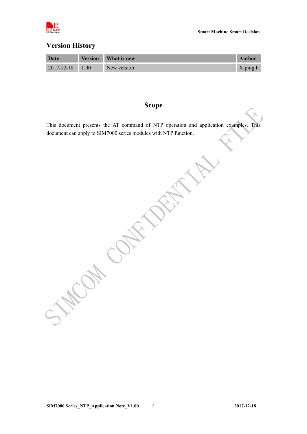

## **Version History**

| Date                  | <b>Version</b> | What is new | <b>Author</b> |
|-----------------------|----------------|-------------|---------------|
| $2017 - 12 - 18$ 1.00 |                | New version | Xiping.li     |

# **Scope**

This document presents the AT command of NTP operation and application examples. This document can apply to SIM7000 series modules with NTP function.

**PRITTING** 

CAL CAKE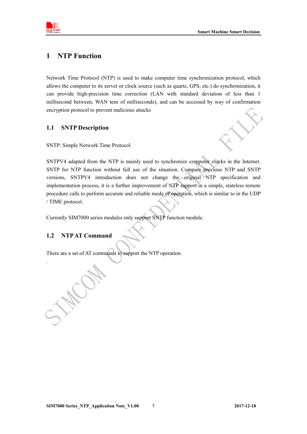

### <span id="page-4-0"></span>**1 NTP Function**

Network Time Protocol (NTP) is used to make computer time synchronization protocol, which allows the computer to its server or clock source (such as quartz, GPS, etc.) do synchronization, it can provide high-precision time correction (LAN with standard deviation of less than 1 millisecond between, WAN tens of milliseconds), and can be accessed by way of confirmation encryption protocol to prevent malicious attacks

#### <span id="page-4-1"></span>**1.1 SNTP Description**

SNTP: Simple Network Time Protocol.

SNTPV4 adapted from the NTP is mainly used to synchronize computer clocks in the Internet. SNTP for NTP function without full use of the situation. Compare previous NTP and SNTP versions, SNTPV4 introduction does not change the original NTP specification and implementation process, it is a further improvement of NTP support in a simple, stateless remote procedure calls to perform accurate and reliable mode of operation, which is similar to in the UDP / TIME protocol.

<span id="page-4-2"></span>Currently SIM7000 series modules only support SNTP function module.

### **1.2 NTPAT Command**

There are a set of AT commands to support the NTP operation.

.WON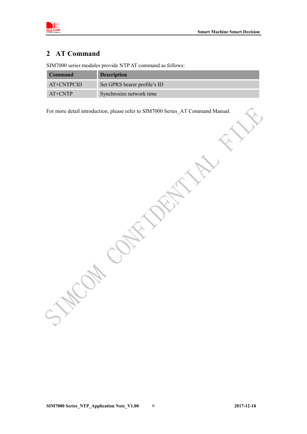

# <span id="page-5-0"></span>**2 AT Command**

SIM7000 series modules provide NTP AT command as follows:

**MANCON** 

| <b>Command</b> | <b>Description</b>           |
|----------------|------------------------------|
| AT+CNTPCID     | Set GPRS bearer profile's ID |
| $AT+CNTP$      | Synchrosize network time     |

For more detail introduction, please refer to SIM7000 Series\_AT Command Manual.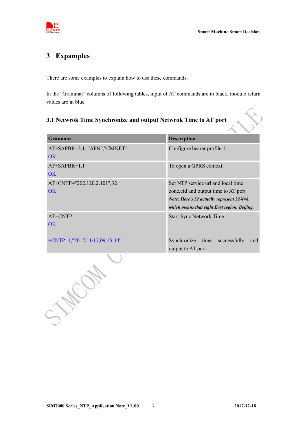

# <span id="page-6-0"></span>**3 Expamples**

There are some examples to explain how to use these commands.

In the "Grammar" columns of following tables, input of AT commands are in black, module return values are in blue.

# <span id="page-6-1"></span>**3.1 Netwrok Time Synchronize and output Netwrok Time to AT port**

| <b>Grammar</b>                          | <b>Description</b>                                                                                                                                                       |
|-----------------------------------------|--------------------------------------------------------------------------------------------------------------------------------------------------------------------------|
| AT+SAPBR=3,1, "APN", "CMNET"<br>OK      | Configure bearer profile 1                                                                                                                                               |
| $AT+SAPBR=1,1$<br>OK                    | To open a GPRS context.                                                                                                                                                  |
| AT+CNTP="202.120.2.101",32<br><b>OK</b> | Set NTP service url and local time<br>zone, cid and output time to AT port<br>Note: Here's 32 actually represent 32/4=8,<br>which means that eight East region, Beijing. |
| AT+CNTP<br><b>OK</b>                    | <b>Start Sync Network Time</b>                                                                                                                                           |
| +CNTP: 1,"2017/11/17,09:25:34"          | Synchronize<br>successfully<br>time<br>and<br>output to AT port.                                                                                                         |
|                                         |                                                                                                                                                                          |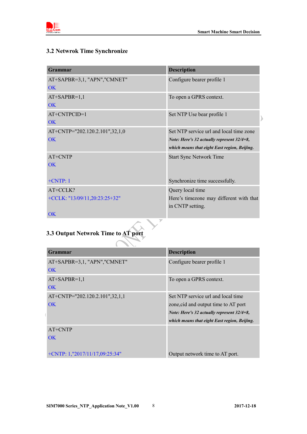

# <span id="page-7-0"></span>**3.2 Netwrok Time Synchronize**

| <b>Grammar</b>                           | <b>Description</b>                                                                         |
|------------------------------------------|--------------------------------------------------------------------------------------------|
| AT+SAPBR=3,1, "APN","CMNET"<br>OK        | Configure bearer profile 1                                                                 |
| $AT+SAPBR=1,1$<br>$\overline{\text{OK}}$ | To open a GPRS context.                                                                    |
| AT+CNTPCID=1<br>$\overline{\text{OK}}$   | Set NTP Use bear profile 1                                                                 |
| AT+CNTP="202.120.2.101",32,1,0           | Set NTP service url and local time zone                                                    |
| $\overline{\text{OK}}$                   | Note: Here's 32 actually represent 32/4=8,<br>which means that eight East region, Beijing. |
| AT+CNTP                                  | <b>Start Sync Network Time</b>                                                             |
| $\overline{\text{OK}}$                   |                                                                                            |
| $+CNTP:1$                                | Synchronize time successfully.                                                             |
| AT+CCLK?                                 | Query local time                                                                           |
| +CCLK: "13/09/11,20:23:25+32"            | Here's timezone may different with that                                                    |
|                                          | in CNTP setting.                                                                           |
| <b>OK</b>                                |                                                                                            |
|                                          |                                                                                            |

# <span id="page-7-1"></span>**3.3 Output Netwrok Time to AT port**

| Grammar                           | <b>Description</b>                                |
|-----------------------------------|---------------------------------------------------|
| AT+SAPBR=3,1, "APN","CMNET"       | Configure bearer profile 1                        |
| OK                                |                                                   |
| $AT+SAPBR=1,1$                    | To open a GPRS context.                           |
| OK                                |                                                   |
| AT+CNTP="202.120.2.101",32,1,1    | Set NTP service url and local time                |
| <b>OK</b>                         | zone, cid and output time to AT port              |
|                                   | <i>Note: Here's 32 actually represent 32/4=8,</i> |
|                                   | which means that eight East region, Beijing.      |
| $AT+CNTP$                         |                                                   |
| OK.                               |                                                   |
|                                   |                                                   |
| $+CNTP: 1, "2017/11/17,09:25:34"$ | Output network time to AT port.                   |

 $\Delta$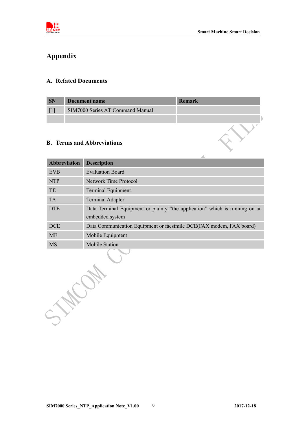

Y

# <span id="page-8-0"></span>**Appendix**

#### <span id="page-8-1"></span>**A. Refated Documents**

| <b>SN</b> | Document name                    | Remark |
|-----------|----------------------------------|--------|
|           | SIM7000 Series AT Command Manual |        |
|           |                                  |        |

#### <span id="page-8-2"></span>**B. Terms and Abbreviations**

| <b>Abbreviation</b> | <b>Description</b>                                                                             |  |
|---------------------|------------------------------------------------------------------------------------------------|--|
| <b>EVB</b>          | <b>Evaluation Board</b>                                                                        |  |
| <b>NTP</b>          | <b>Network Time Protocol</b>                                                                   |  |
| TE                  | Terminal Equipment                                                                             |  |
| <b>TA</b>           | <b>Terminal Adapter</b>                                                                        |  |
| <b>DTE</b>          | Data Terminal Equipment or plainly "the application" which is running on an<br>embedded system |  |
| <b>DCE</b>          | Data Communication Equipment or facsimile DCE(FAX modem, FAX board)                            |  |
| ME                  | Mobile Equipment                                                                               |  |
| <b>MS</b>           | <b>Mobile Station</b>                                                                          |  |
|                     |                                                                                                |  |